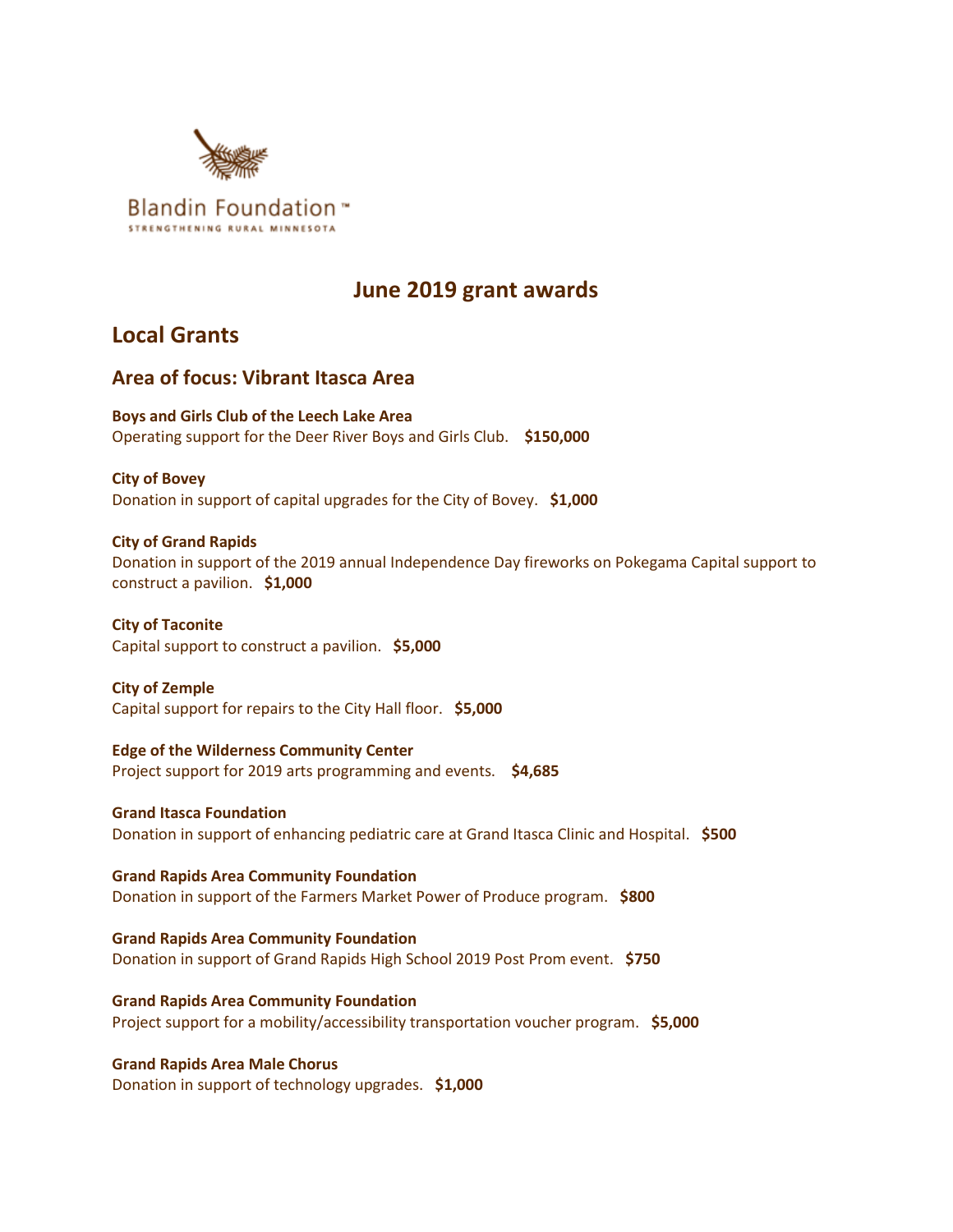

# **June 2019 grant awards**

# **Local Grants**

# **Area of focus: Vibrant Itasca Area**

**Boys and Girls Club of the Leech Lake Area** Operating support for the Deer River Boys and Girls Club. **\$150,000**

**City of Bovey** Donation in support of capital upgrades for the City of Bovey. **\$1,000**

## **City of Grand Rapids**

Donation in support of the 2019 annual Independence Day fireworks on Pokegama Capital support to construct a pavilion. **\$1,000**

**City of Taconite** Capital support to construct a pavilion. **\$5,000**

**City of Zemple** Capital support for repairs to the City Hall floor. **\$5,000**

**Edge of the Wilderness Community Center** Project support for 2019 arts programming and events. **\$4,685**

**Grand Itasca Foundation** Donation in support of enhancing pediatric care at Grand Itasca Clinic and Hospital. **\$500**

**Grand Rapids Area Community Foundation** Donation in support of the Farmers Market Power of Produce program. **\$800**

**Grand Rapids Area Community Foundation** Donation in support of Grand Rapids High School 2019 Post Prom event. **\$750**

**Grand Rapids Area Community Foundation** Project support for a mobility/accessibility transportation voucher program. **\$5,000**

**Grand Rapids Area Male Chorus** Donation in support of technology upgrades. **\$1,000**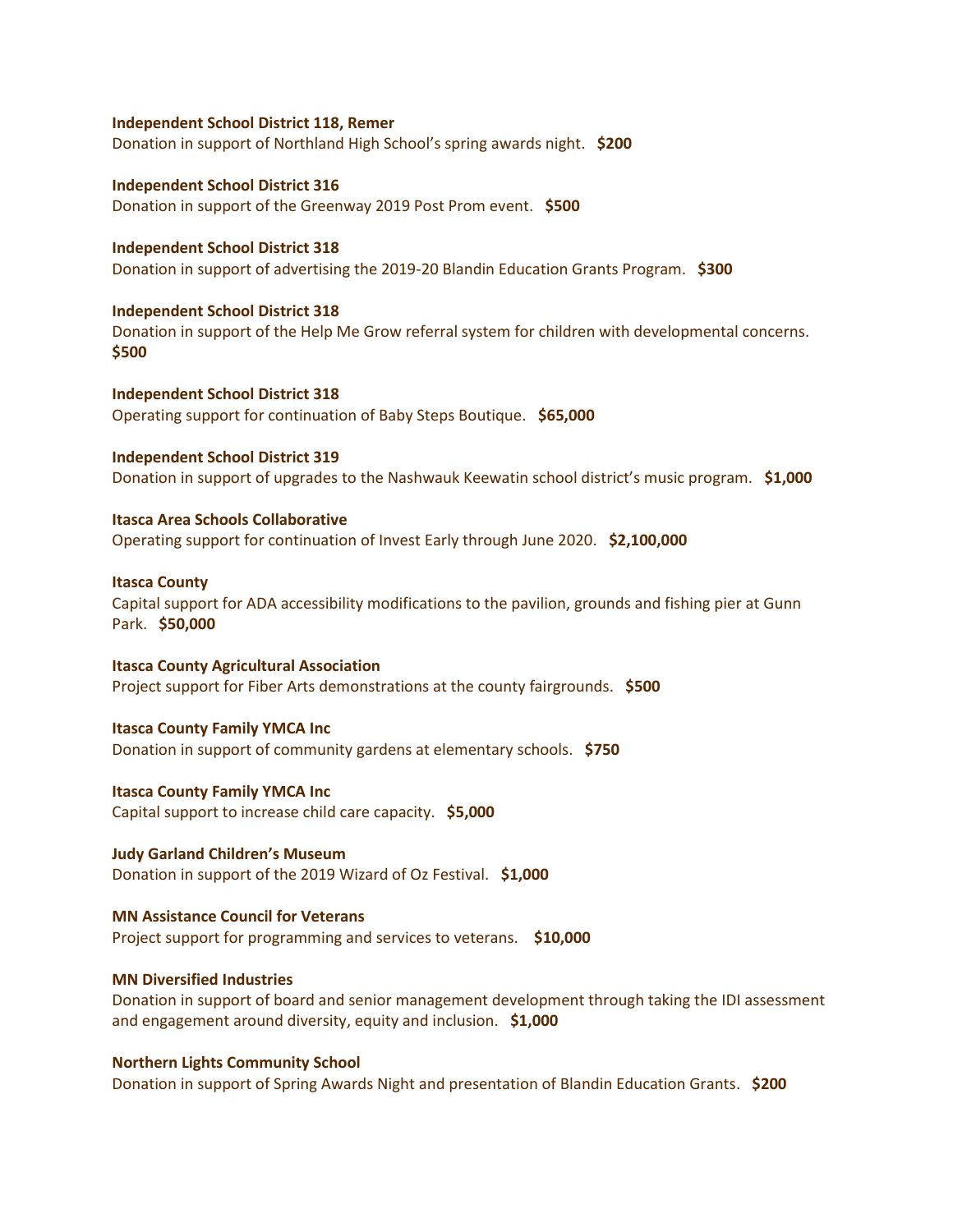#### **Independent School District 118, Remer**

Donation in support of Northland High School's spring awards night. **\$200**

**Independent School District 316** Donation in support of the Greenway 2019 Post Prom event. **\$500**

**Independent School District 318** Donation in support of advertising the 2019-20 Blandin Education Grants Program. **\$300**

**Independent School District 318** Donation in support of the Help Me Grow referral system for children with developmental concerns. **\$500**

**Independent School District 318** Operating support for continuation of Baby Steps Boutique. **\$65,000**

**Independent School District 319**  Donation in support of upgrades to the Nashwauk Keewatin school district's music program. **\$1,000**

**Itasca Area Schools Collaborative** Operating support for continuation of Invest Early through June 2020. **\$2,100,000**

**Itasca County**

Capital support for ADA accessibility modifications to the pavilion, grounds and fishing pier at Gunn Park. **\$50,000**

**Itasca County Agricultural Association** Project support for Fiber Arts demonstrations at the county fairgrounds. **\$500**

**Itasca County Family YMCA Inc**

Donation in support of community gardens at elementary schools. **\$750**

**Itasca County Family YMCA Inc** Capital support to increase child care capacity. **\$5,000**

**Judy Garland Children's Museum** Donation in support of the 2019 Wizard of Oz Festival. **\$1,000**

**MN Assistance Council for Veterans** Project support for programming and services to veterans. **\$10,000**

#### **MN Diversified Industries**

Donation in support of board and senior management development through taking the IDI assessment and engagement around diversity, equity and inclusion. **\$1,000**

**Northern Lights Community School**

Donation in support of Spring Awards Night and presentation of Blandin Education Grants. **\$200**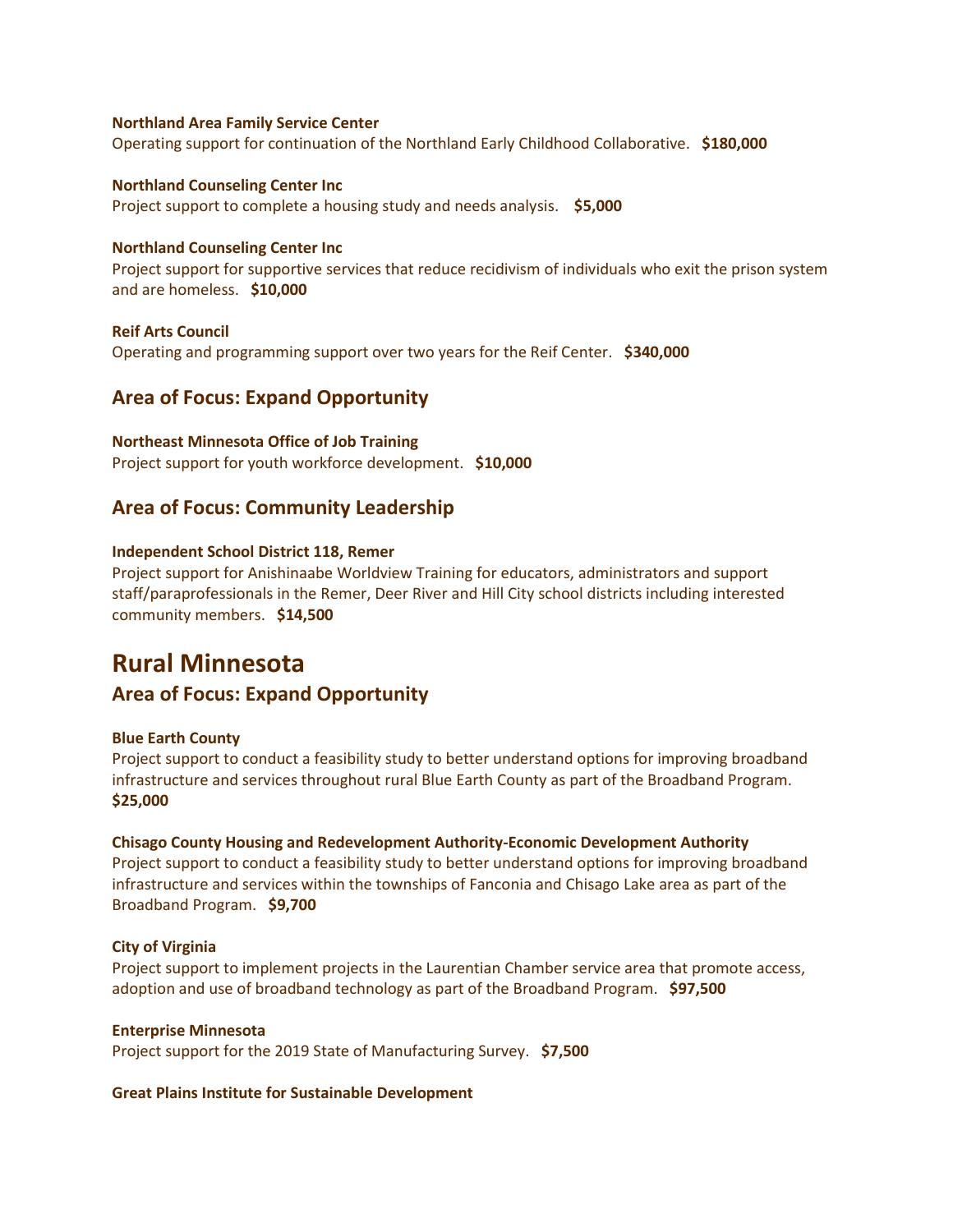#### **Northland Area Family Service Center**

Operating support for continuation of the Northland Early Childhood Collaborative. **\$180,000**

## **Northland Counseling Center Inc** Project support to complete a housing study and needs analysis. **\$5,000**

#### **Northland Counseling Center Inc**

Project support for supportive services that reduce recidivism of individuals who exit the prison system and are homeless. **\$10,000**

**Reif Arts Council** Operating and programming support over two years for the Reif Center. **\$340,000**

# **Area of Focus: Expand Opportunity**

#### **Northeast Minnesota Office of Job Training**

Project support for youth workforce development. **\$10,000**

## **Area of Focus: Community Leadership**

#### **Independent School District 118, Remer**

Project support for Anishinaabe Worldview Training for educators, administrators and support staff/paraprofessionals in the Remer, Deer River and Hill City school districts including interested community members. **\$14,500**

# **Rural Minnesota**

# **Area of Focus: Expand Opportunity**

### **Blue Earth County**

Project support to conduct a feasibility study to better understand options for improving broadband infrastructure and services throughout rural Blue Earth County as part of the Broadband Program. **\$25,000**

#### **Chisago County Housing and Redevelopment Authority-Economic Development Authority**

Project support to conduct a feasibility study to better understand options for improving broadband infrastructure and services within the townships of Fanconia and Chisago Lake area as part of the Broadband Program. **\$9,700**

### **City of Virginia**

Project support to implement projects in the Laurentian Chamber service area that promote access, adoption and use of broadband technology as part of the Broadband Program. **\$97,500**

#### **Enterprise Minnesota**

Project support for the 2019 State of Manufacturing Survey. **\$7,500**

#### **Great Plains Institute for Sustainable Development**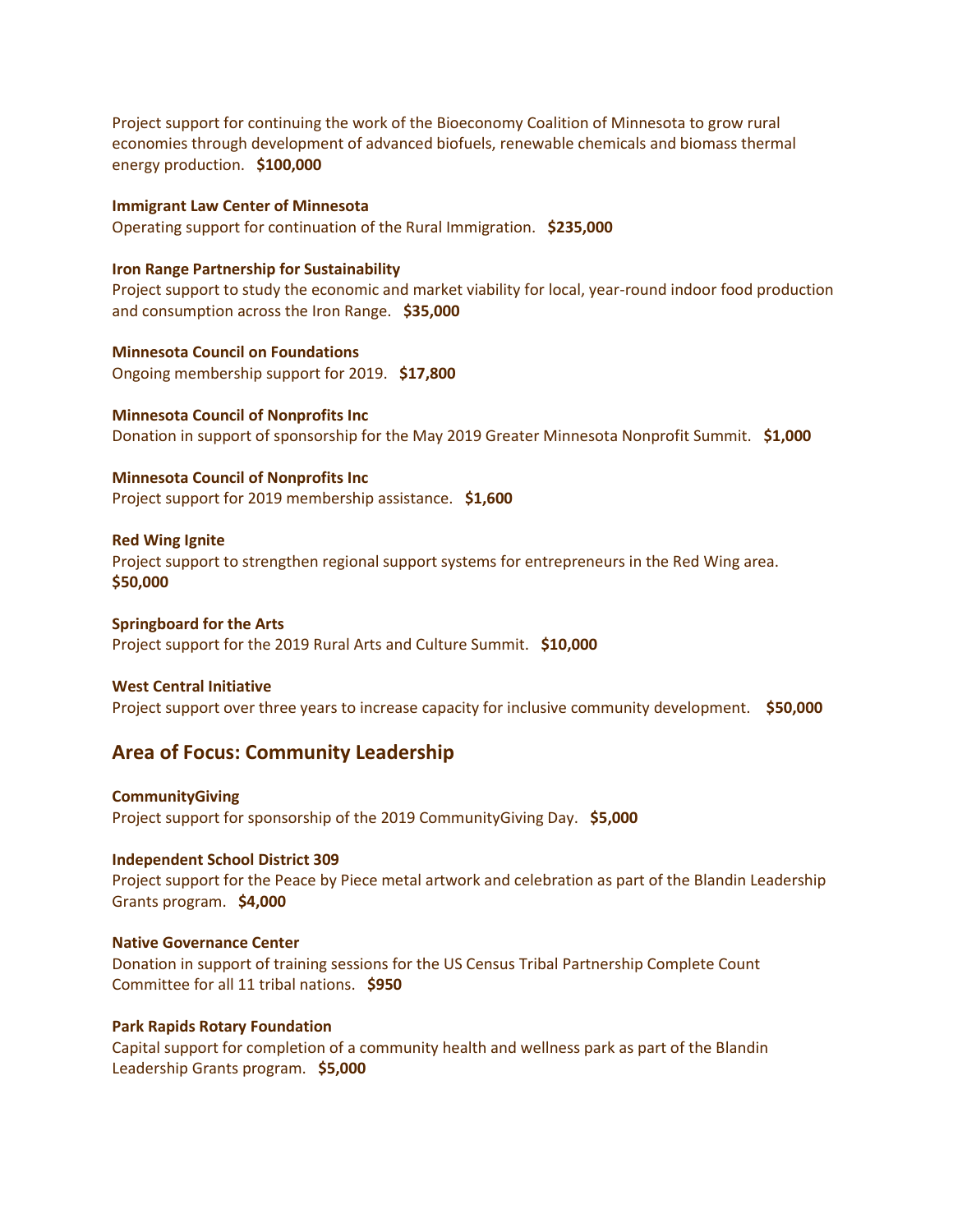Project support for continuing the work of the Bioeconomy Coalition of Minnesota to grow rural economies through development of advanced biofuels, renewable chemicals and biomass thermal energy production. **\$100,000**

**Immigrant Law Center of Minnesota** Operating support for continuation of the Rural Immigration. **\$235,000**

#### **Iron Range Partnership for Sustainability**

Project support to study the economic and market viability for local, year-round indoor food production and consumption across the Iron Range. **\$35,000**

**Minnesota Council on Foundations** Ongoing membership support for 2019. **\$17,800**

**Minnesota Council of Nonprofits Inc** Donation in support of sponsorship for the May 2019 Greater Minnesota Nonprofit Summit. **\$1,000**

**Minnesota Council of Nonprofits Inc** Project support for 2019 membership assistance. **\$1,600**

#### **Red Wing Ignite**

Project support to strengthen regional support systems for entrepreneurs in the Red Wing area. **\$50,000**

#### **Springboard for the Arts**

Project support for the 2019 Rural Arts and Culture Summit. **\$10,000**

#### **West Central Initiative**

Project support over three years to increase capacity for inclusive community development. **\$50,000**

## **Area of Focus: Community Leadership**

#### **CommunityGiving**

Project support for sponsorship of the 2019 CommunityGiving Day. **\$5,000**

#### **Independent School District 309**

Project support for the Peace by Piece metal artwork and celebration as part of the Blandin Leadership Grants program. **\$4,000**

#### **Native Governance Center**

Donation in support of training sessions for the US Census Tribal Partnership Complete Count Committee for all 11 tribal nations. **\$950**

#### **Park Rapids Rotary Foundation**

Capital support for completion of a community health and wellness park as part of the Blandin Leadership Grants program. **\$5,000**